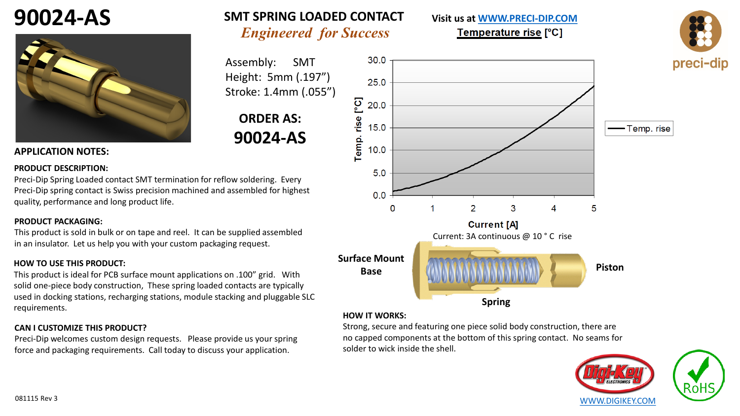# **90024-AS**



### *Engineered for Success* **SMT SPRING LOADED CONTACT**

Assembly: SMT Height: 5mm (.197") Stroke: 1.4mm (.055")

## **ORDER AS: 90024-AS**

#### **APPLICATION NOTES:**

#### **PRODUCT DESCRIPTION:**

Preci-Dip Spring Loaded contact SMT termination for reflow soldering. Every Preci-Dip spring contact is Swiss precision machined and assembled for highest quality, performance and long product life.

#### **PRODUCT PACKAGING:**

This product is sold in bulk or on tape and reel. It can be supplied assembled in an insulator. Let us help you with your custom packaging request.

#### **HOW TO USE THIS PRODUCT:**

This product is ideal for PCB surface mount applications on .100" grid. With solid one-piece body construction, These spring loaded contacts are typically used in docking stations, recharging stations, module stacking and pluggable SLC requirements.

#### **CAN I CUSTOMIZE THIS PRODUCT?**

Preci-Dip welcomes custom design requests. Please provide us your spring force and packaging requirements. Call today to discuss your application.



**Visit us at [WWW.PRECI-DIP.COM](http://www.precidip.com/Default.aspx)**

Temperature rise [°C]

#### **HOW IT WORKS:**

Strong, secure and featuring one piece solid body construction, there are no capped components at the bottom of this spring contact. No seams for solder to wick inside the shell.